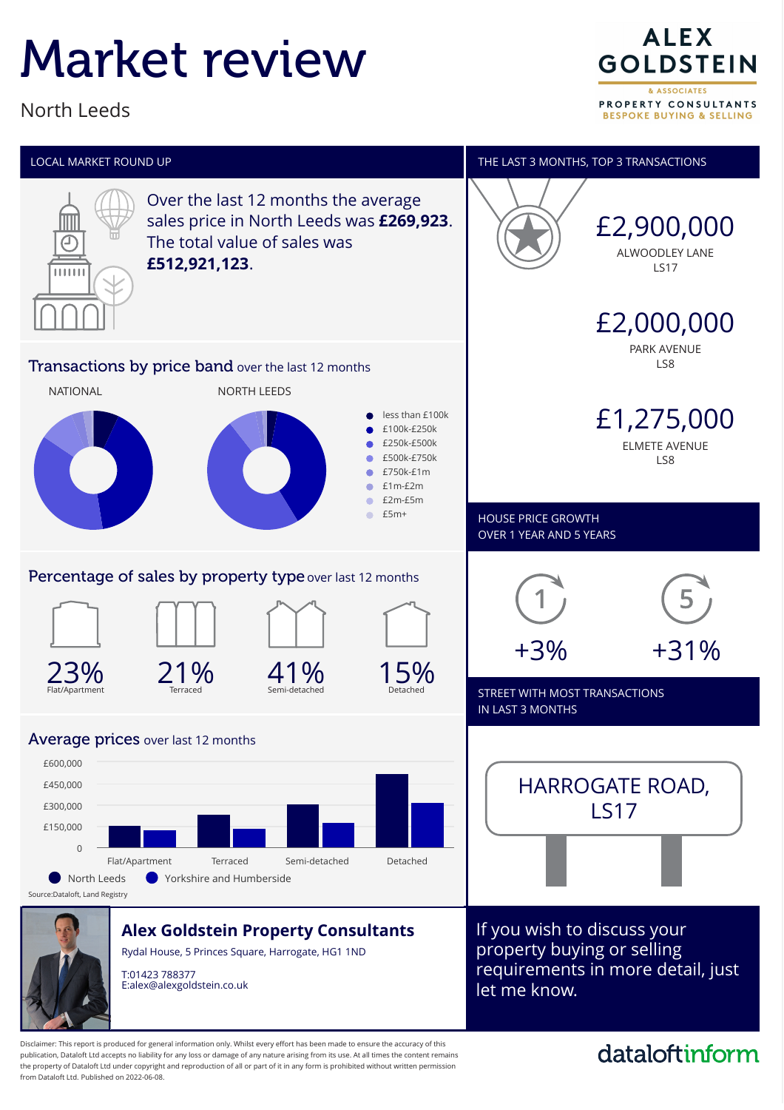# Market review

North Leeds

**ALEX GOLDSTEIN** & ASSOCIATES PROPERTY CONSULTANTS **BESPOKE BUYING & SELLING** 



publication, Dataloft Ltd accepts no liability for any loss or damage of any nature arising from its use. At all times the content remains the property of Dataloft Ltd under copyright and reproduction of all or part of it in any form is prohibited without written permission from Dataloft Ltd. Published on 2022-06-08.